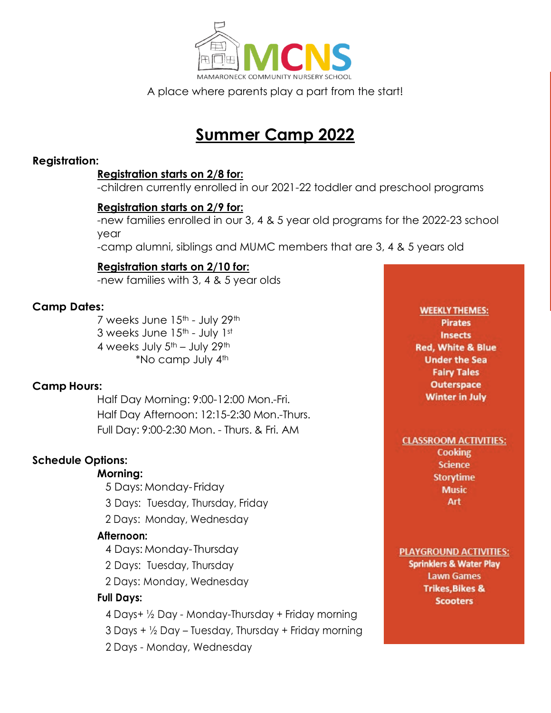

A place where parents play a part from the start!

# **Summer Camp 2022**

#### **Registration:**

#### **Registration starts on 2/8 for:**

-children currently enrolled in our 2021-22 toddler and preschool programs

#### **Registration starts on 2/9 for:**

-new families enrolled in our 3, 4 & 5 year old programs for the 2022-23 school year

-camp alumni, siblings and MUMC members that are 3, 4 & 5 years old

### **Registration starts on 2/10 for:**

-new families with 3, 4 & 5 year olds

#### **Camp Dates:**

7 weeks June 15<sup>th</sup> - July 29<sup>th</sup> 3 weeks June 15<sup>th</sup> - July 1st 4 weeks July  $5<sup>th</sup>$  – July  $29<sup>th</sup>$ \*No camp July  $4<sup>th</sup>$ 

### **Camp Hours:**

Half Day Morning: 9:00-12:00 Mon.-Fri. Half Day Afternoon: 12:15-2:30 Mon.-Thurs. Full Day: 9:00-2:30 Mon. - Thurs. & Fri. AM

### **Schedule Options:**

#### **Morning:**

- 5 Days: Monday- Friday
- 3 Days: Tuesday, Thursday, Friday
- 2 Days: Monday, Wednesday

#### **Afternoon:**

- 4 Days: Monday- Thursday
- 2 Days: Tuesday, Thursday
- 2 Days: Monday, Wednesday

### **Full Days:**

- 4 Days+ ½ Day Monday-Thursday + Friday morning
- $3$  Days +  $\frac{1}{2}$  Day Tuesday, Thursday + Friday morning
- 2 Days Monday, Wednesday

#### **WEEKLY THEMES: Pirates Insects Red. White & Blue Under the Sea Fairy Tales Outerspace Winter in July**

#### **CLASSROOM ACTIVITIES:**

**Cooking Science Storytime Music** Art

**PLAYGROUND ACTIVITIES: Sprinklers & Water Play Lawn Games Trikes, Bikes & Scooters**